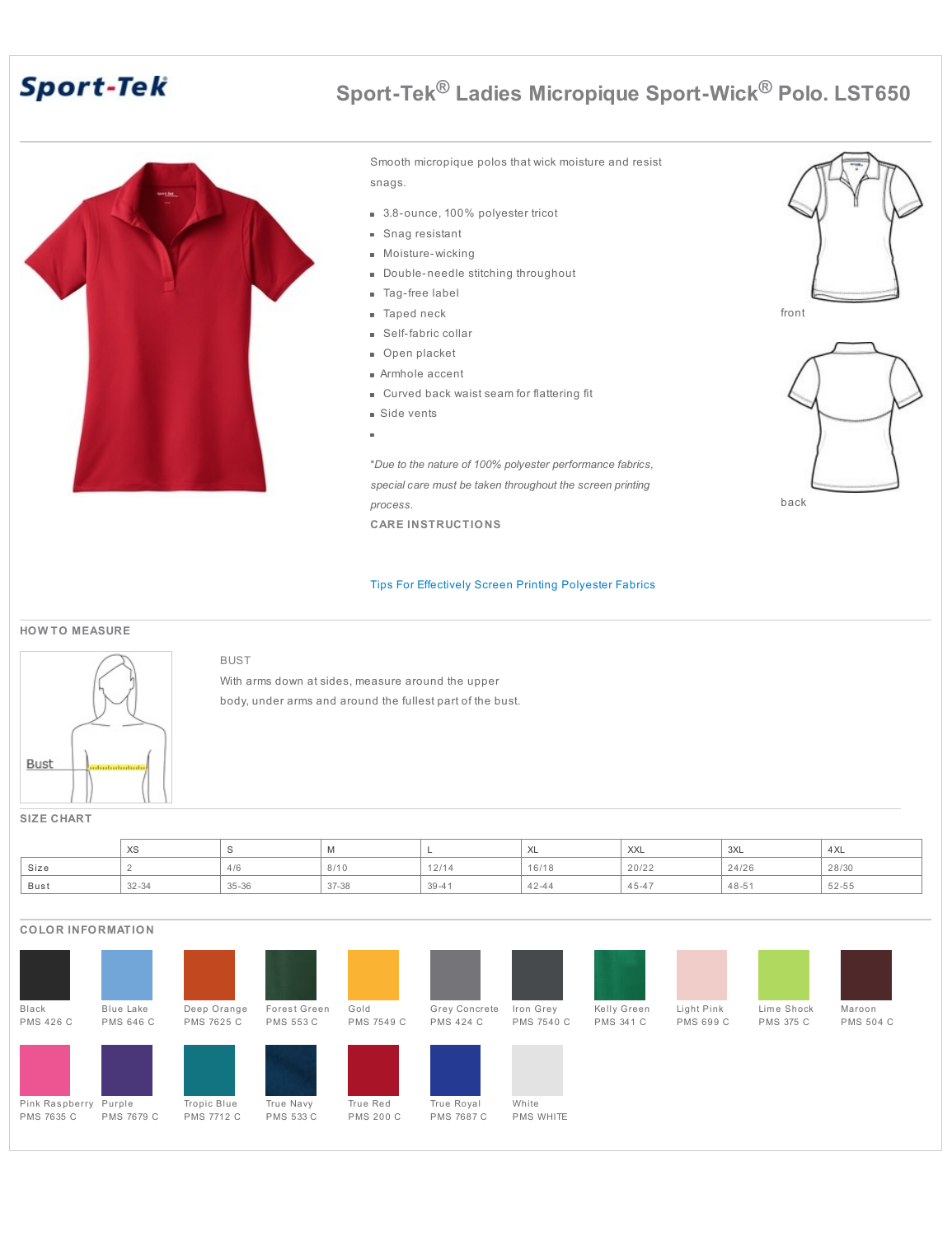# **Sport-Tek**



BUST

# **Sport-Tek® Ladies Micropique Sport-Wick® Polo. LST650**

front

back

Smooth micropique polos that wick moisture and resist snags.

- 3.8-ounce, 100% polyester tricot
- Snag resistant
- Moisture-wicking
- Double-needle stitching throughout
- **Tag-free label**
- Taped neck  $\bar{a}$
- Self-fabric collar
- Open placket
- Armhole accent
- Curved back waist seam for flattering fit
- Side vents
- $\alpha$

\**Due to the nature of 100% polyester performance fabrics, special care must be taken throughout the screen printing process.*

**CARE INSTRUCTIONS**

#### Tips For [Effectively](http://www.apparelvideos.com/docs/downloads/UPDATEDTipsforEffectivelyScreenprintingPolyesterFabrics4.12.pdf) Screen Printing Polyester Fabrics

#### **HOW TO MEASURE**



With arms down at sides, measure around the upper body, under arms and around the fullest part of the bust.

#### **SIZE CHART**

|      | $\vee$<br>∧ວ |                        | IVI.      |                  | $\lambda$<br>AL. | $\lambda$<br>$\wedge\wedge\wedge$ | 3XL       | 4XL   |
|------|--------------|------------------------|-----------|------------------|------------------|-----------------------------------|-----------|-------|
| Size |              | 10 <sup>o</sup><br>4/0 | 8/10      | $A \cap IA$<br>. | 16/18            | 20/22                             | 24/26     | 28/30 |
| Bust | $32 - 34$    | $35 - 36$              | $37 - 38$ | $39 - 41$        | $42 - 44$        | $45 - 4$                          | $48 - 51$ | 52-55 |

### **COLOR INFORMATION**

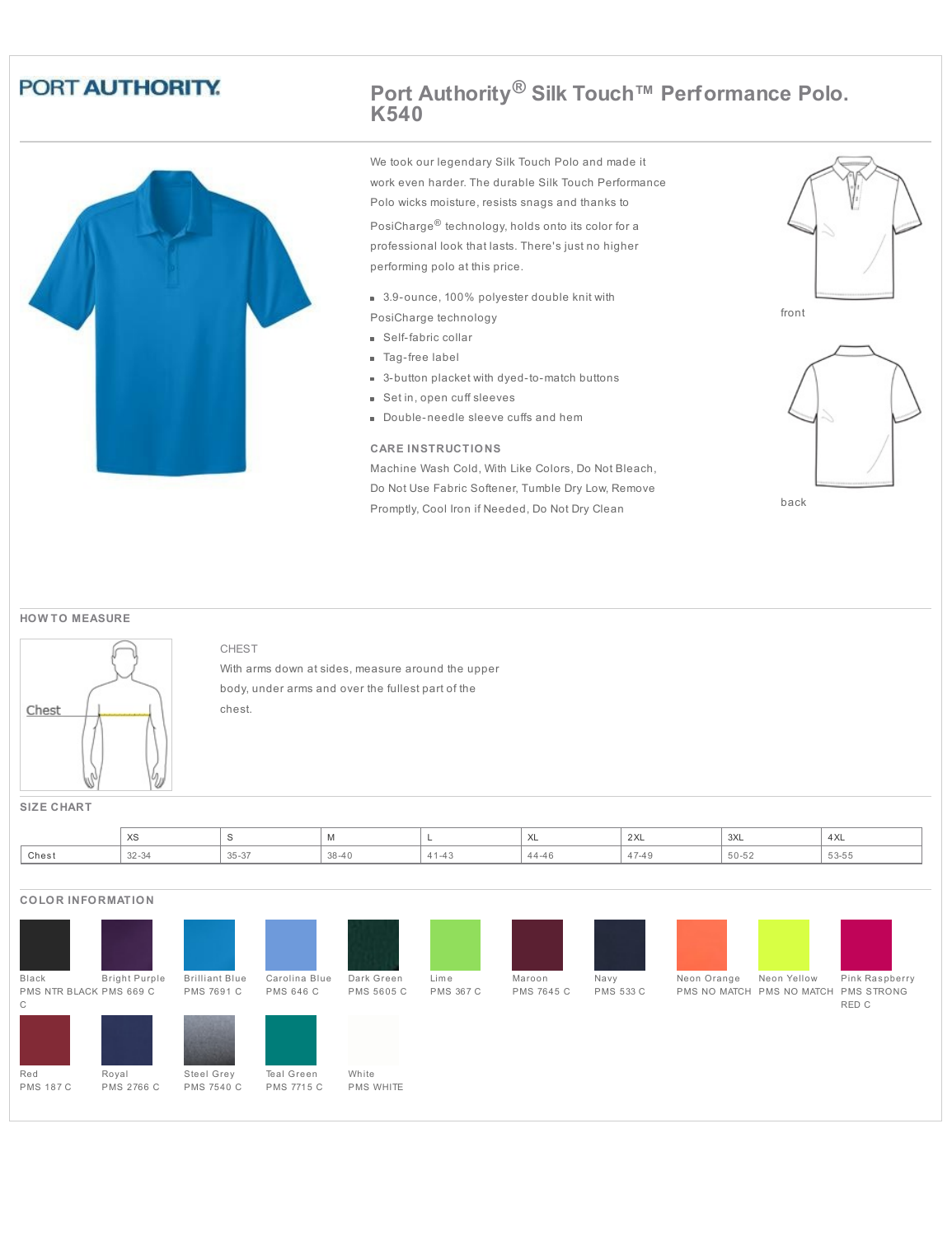# PORT AUTHORITY.



## **Port Authority® Silk Touch™ Performance Polo. K540**

We took our legendary Silk Touch Polo and made it work even harder. The durable Silk Touch Performance Polo wicks moisture, resists snags and thanks to

PosiCharge® technology, holds onto its color for a professional look that lasts. There's just no higher performing polo at this price.

3.9-ounce, 100% polyester double knit with

PosiCharge technology

- **Self-fabric collar**
- Tag-free label
- 3-button placket with dyed-to-match buttons
- Set in, open cuff sleeves
- Double-needle sleeve cuffs and hem

#### **CARE INSTRUCTIONS**

Machine Wash Cold, With Like Colors, Do Not Bleach, Do Not Use Fabric Softener, Tumble Dry Low, Remove Promptly, Cool Iron if Needed, Do Not Dry Clean





#### **HOW TO MEASURE**



CHEST

With arms down at sides, measure around the upper body, under arms and over the fullest part of the chest.

**SIZE CHART**

|       | $\sqrt{2}$<br>ົ∧ບ |                 | .  |        | $\overline{1}$<br>⌒⌒     | $\sim$<br>∠∧⊾ | '3XL | 4 XL  |
|-------|-------------------|-----------------|----|--------|--------------------------|---------------|------|-------|
| Chest | $\sim$<br>~ت ∠ن   | $\sim$<br>35-37 | ັບ | $+4.7$ | $\Lambda$ $\ell$<br>-4 t |               | ◡–◡∠ | 53-55 |

### **COLOR INFORMATION**

| Black                   | <b>Bright Purple</b> | <b>Brilliant Blue</b> | Carolina Blue     | Dark Green       | Lime             | Maroon            | Navy             | Neon Orange               | Neon Yellow | Pink Raspberry    |
|-------------------------|----------------------|-----------------------|-------------------|------------------|------------------|-------------------|------------------|---------------------------|-------------|-------------------|
| PMS NTR BLACK PMS 669 C |                      | PMS 7691 C            | PMS 646 C         | PMS 5605 C       | <b>PMS 367 C</b> | <b>PMS 7645 C</b> | <b>PMS 533 C</b> | PMS NO MATCH PMS NO MATCH |             | <b>PMS STRONG</b> |
| C                       |                      |                       |                   |                  |                  |                   |                  |                           |             | RED C             |
|                         |                      | .                     |                   |                  |                  |                   |                  |                           |             |                   |
| Red                     | Royal                | Steel Grey            | Teal Green        | White            |                  |                   |                  |                           |             |                   |
| <b>PMS 187 C</b>        | PMS 2766 C           | <b>PMS 7540 C</b>     | <b>PMS 7715 C</b> | <b>PMS WHITE</b> |                  |                   |                  |                           |             |                   |